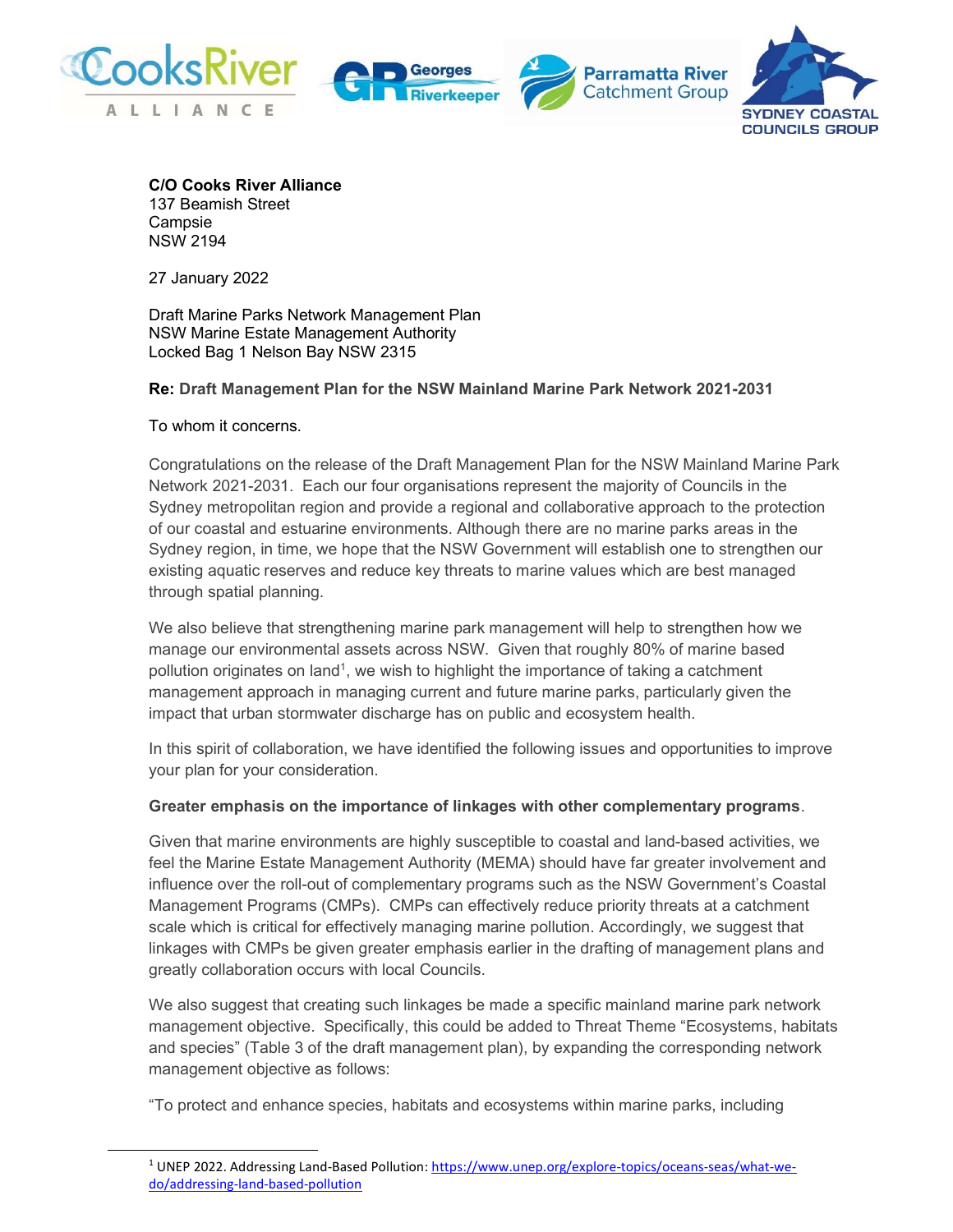







C/O Cooks River Alliance 137 Beamish Street **Campsie** NSW 2194

27 January 2022

Draft Marine Parks Network Management Plan NSW Marine Estate Management Authority Locked Bag 1 Nelson Bay NSW 2315

## Re: Draft Management Plan for the NSW Mainland Marine Park Network 2021-2031

#### To whom it concerns.

Congratulations on the release of the Draft Management Plan for the NSW Mainland Marine Park Network 2021-2031. Each our four organisations represent the majority of Councils in the Sydney metropolitan region and provide a regional and collaborative approach to the protection of our coastal and estuarine environments. Although there are no marine parks areas in the Sydney region, in time, we hope that the NSW Government will establish one to strengthen our existing aquatic reserves and reduce key threats to marine values which are best managed through spatial planning.

We also believe that strengthening marine park management will help to strengthen how we manage our environmental assets across NSW. Given that roughly 80% of marine based pollution originates on land<sup>1</sup>, we wish to highlight the importance of taking a catchment management approach in managing current and future marine parks, particularly given the impact that urban stormwater discharge has on public and ecosystem health.

In this spirit of collaboration, we have identified the following issues and opportunities to improve your plan for your consideration.

#### Greater emphasis on the importance of linkages with other complementary programs.

Given that marine environments are highly susceptible to coastal and land-based activities, we feel the Marine Estate Management Authority (MEMA) should have far greater involvement and influence over the roll-out of complementary programs such as the NSW Government's Coastal Management Programs (CMPs). CMPs can effectively reduce priority threats at a catchment scale which is critical for effectively managing marine pollution. Accordingly, we suggest that linkages with CMPs be given greater emphasis earlier in the drafting of management plans and greatly collaboration occurs with local Councils.

We also suggest that creating such linkages be made a specific mainland marine park network management objective. Specifically, this could be added to Threat Theme "Ecosystems, habitats and species" (Table 3 of the draft management plan), by expanding the corresponding network management objective as follows:

"To protect and enhance species, habitats and ecosystems within marine parks, including

<sup>&</sup>lt;sup>1</sup> UNEP 2022. Addressing Land-Based Pollution: https://www.unep.org/explore-topics/oceans-seas/what-wedo/addressing-land-based-pollution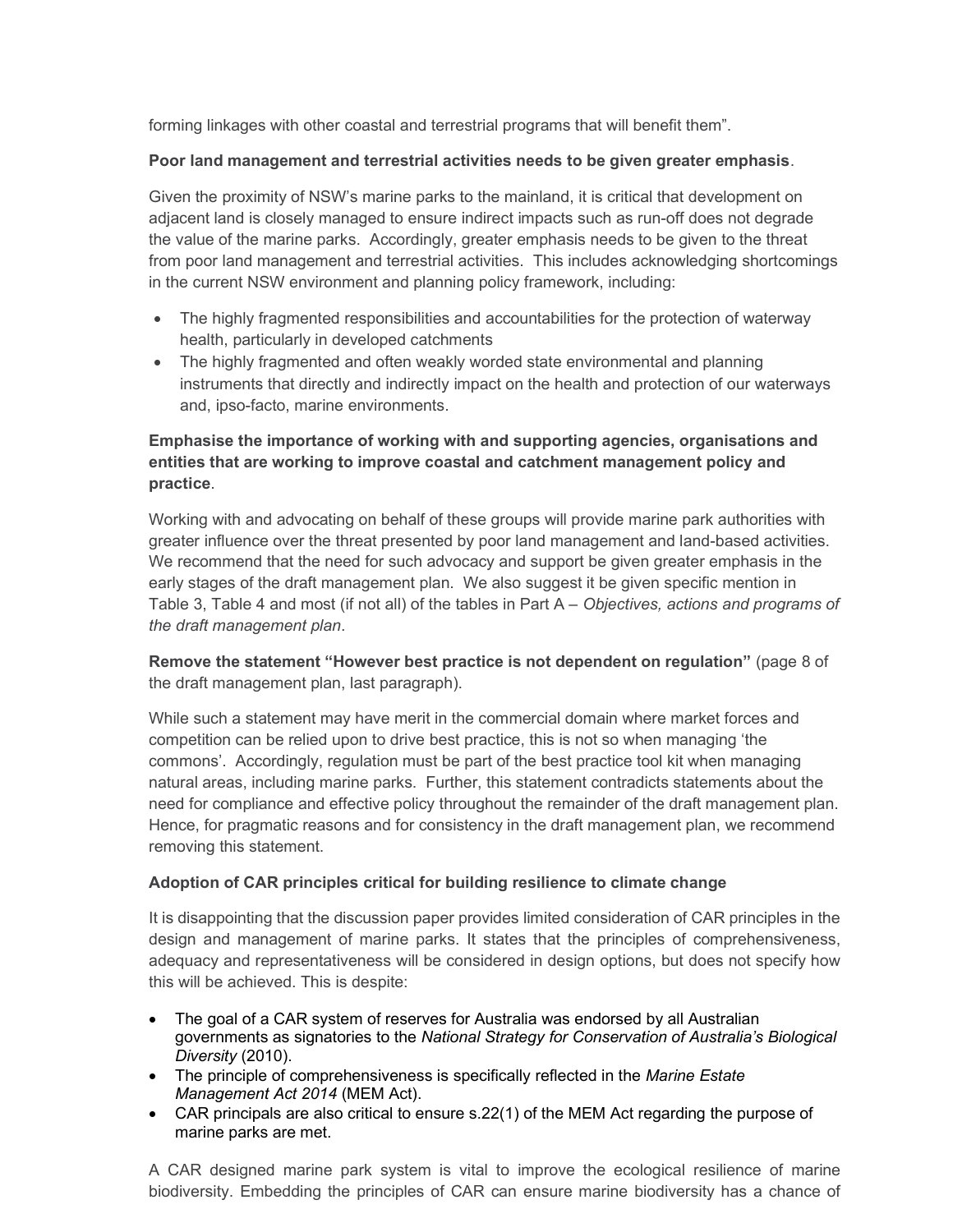forming linkages with other coastal and terrestrial programs that will benefit them".

### Poor land management and terrestrial activities needs to be given greater emphasis.

Given the proximity of NSW's marine parks to the mainland, it is critical that development on adjacent land is closely managed to ensure indirect impacts such as run-off does not degrade the value of the marine parks. Accordingly, greater emphasis needs to be given to the threat from poor land management and terrestrial activities. This includes acknowledging shortcomings in the current NSW environment and planning policy framework, including:

- The highly fragmented responsibilities and accountabilities for the protection of waterway health, particularly in developed catchments
- The highly fragmented and often weakly worded state environmental and planning instruments that directly and indirectly impact on the health and protection of our waterways and, ipso-facto, marine environments.

# Emphasise the importance of working with and supporting agencies, organisations and entities that are working to improve coastal and catchment management policy and practice.

Working with and advocating on behalf of these groups will provide marine park authorities with greater influence over the threat presented by poor land management and land-based activities. We recommend that the need for such advocacy and support be given greater emphasis in the early stages of the draft management plan. We also suggest it be given specific mention in Table 3, Table 4 and most (if not all) of the tables in Part A – Objectives, actions and programs of the draft management plan.

Remove the statement "However best practice is not dependent on regulation" (page 8 of the draft management plan, last paragraph).

While such a statement may have merit in the commercial domain where market forces and competition can be relied upon to drive best practice, this is not so when managing 'the commons'. Accordingly, regulation must be part of the best practice tool kit when managing natural areas, including marine parks. Further, this statement contradicts statements about the need for compliance and effective policy throughout the remainder of the draft management plan. Hence, for pragmatic reasons and for consistency in the draft management plan, we recommend removing this statement.

## Adoption of CAR principles critical for building resilience to climate change

It is disappointing that the discussion paper provides limited consideration of CAR principles in the design and management of marine parks. It states that the principles of comprehensiveness, adequacy and representativeness will be considered in design options, but does not specify how this will be achieved. This is despite:

- The goal of a CAR system of reserves for Australia was endorsed by all Australian governments as signatories to the National Strategy for Conservation of Australia's Biological Diversity (2010).
- The principle of comprehensiveness is specifically reflected in the Marine Estate Management Act 2014 (MEM Act).
- CAR principals are also critical to ensure s.22(1) of the MEM Act regarding the purpose of marine parks are met.

A CAR designed marine park system is vital to improve the ecological resilience of marine biodiversity. Embedding the principles of CAR can ensure marine biodiversity has a chance of